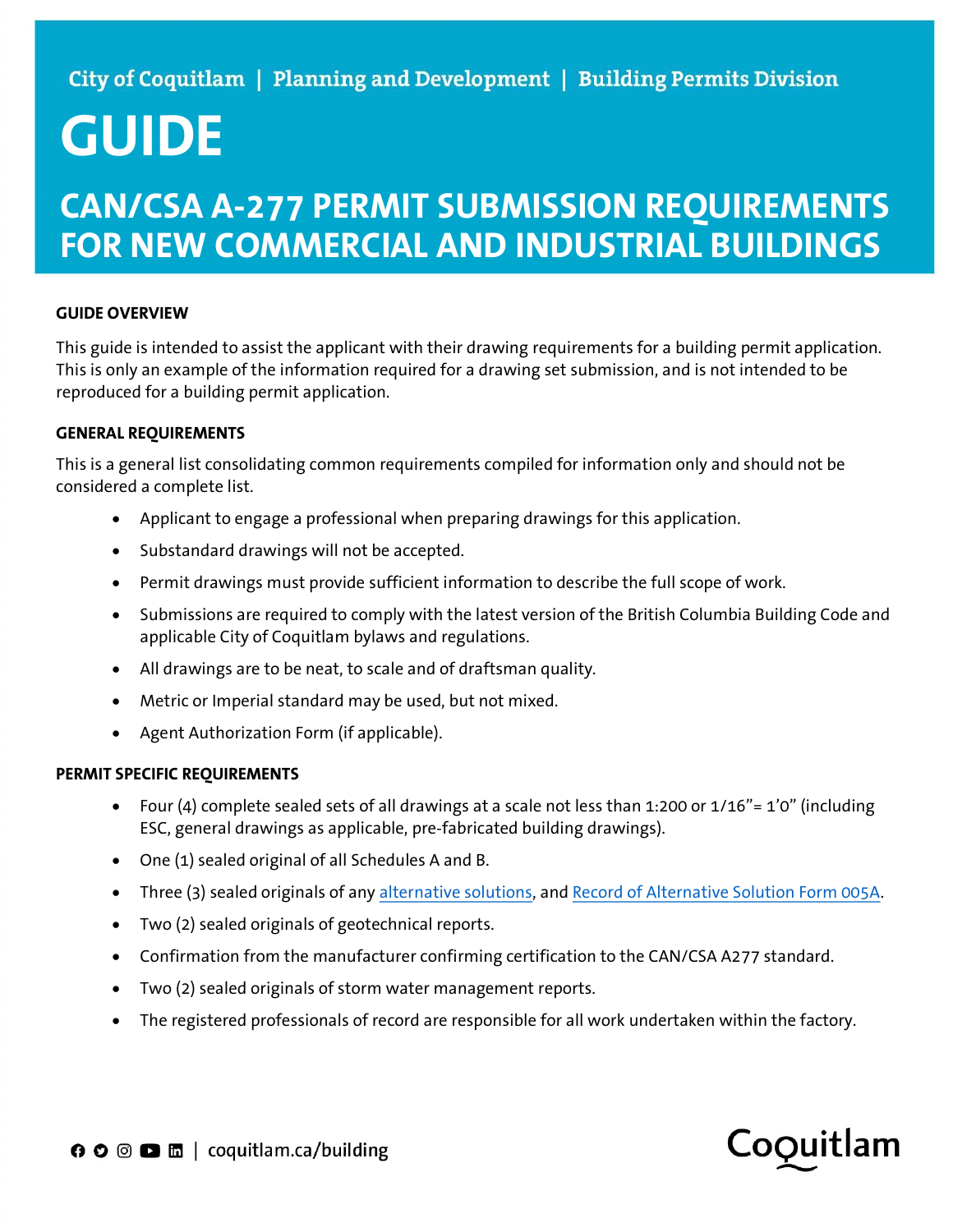# GUIDE

## CAN/CSA A-277 PERMIT SUBMISSION REQUIREMENTS FOR NEW COMMERCIAL AND INDUSTRIAL BUILDINGS

#### GUIDE OVERVIEW

This guide is intended to assist the applicant with their drawing requirements for a building permit application. This is only an example of the information required for a drawing set submission, and is not intended to be reproduced for a building permit application.

#### GENERAL REQUIREMENTS

This is a general list consolidating common requirements compiled for information only and should not be considered a complete list.

- Applicant to engage a professional when preparing drawings for this application.
- Substandard drawings will not be accepted.
- Permit drawings must provide sufficient information to describe the full scope of work.
- Submissions are required to comply with the latest version of the British Columbia Building Code and applicable City of Coquitlam bylaws and regulations.
- All drawings are to be neat, to scale and of draftsman quality.
- Metric or Imperial standard may be used, but not mixed.
- Agent Authorization Form (if applicable).

#### PERMIT SPECIFIC REQUIREMENTS

- Four (4) complete sealed sets of all drawings at a scale not less than 1:200 or  $1/16" = 1'0''$  (including ESC, general drawings as applicable, pre-fabricated building drawings).
- One (1) sealed original of all Schedules A and B.
- Three (3) sealed originals of any alternative solutions, and Record of Alternative Solution Form 005A.
- Two (2) sealed originals of geotechnical reports.
- Confirmation from the manufacturer confirming certification to the CAN/CSA A277 standard.
- Two (2) sealed originals of storm water management reports.
- The registered professionals of record are responsible for all work undertaken within the factory.